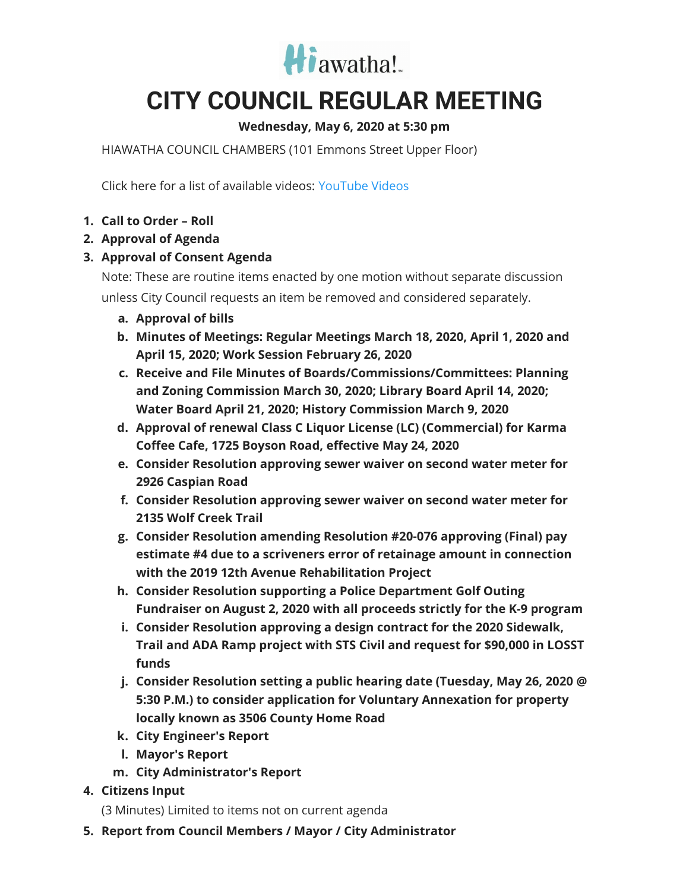

## **CITY COUNCIL REGULAR MEETING**

## **Wednesday, May 6, 2020 at 5:30 pm**

HIAWATHA COUNCIL CHAMBERS (101 Emmons Street Upper Floor)

Click here for a list of available videos: [YouTube](https://www.youtube.com/channel/UC3Vyub-x0FNe8YImqf5XsOQ) Videos

- **1. Call to Order – Roll**
- **2. Approval of Agenda**
- **3. Approval of Consent Agenda**

Note: These are routine items enacted by one motion without separate discussion unless City Council requests an item be removed and considered separately.

- **a. Approval of bills**
- **b. Minutes of Meetings: Regular Meetings March 18, 2020, April 1, 2020 and April 15, 2020; Work Session February 26, 2020**
- **c. Receive and File Minutes of Boards/Commissions/Committees: Planning and Zoning Commission March 30, 2020; Library Board April 14, 2020; Water Board April 21, 2020; History Commission March 9, 2020**
- **d. Approval of renewal Class C Liquor License (LC) (Commercial) for Karma Coffee Cafe, 1725 Boyson Road, effective May 24, 2020**
- **e. Consider Resolution approving sewer waiver on second water meter for 2926 Caspian Road**
- **f. Consider Resolution approving sewer waiver on second water meter for 2135 Wolf Creek Trail**
- **g. Consider Resolution amending Resolution #20-076 approving (Final) pay estimate #4 due to a scriveners error of retainage amount in connection with the 2019 12th Avenue Rehabilitation Project**
- **h. Consider Resolution supporting a Police Department Golf Outing Fundraiser on August 2, 2020 with all proceeds strictly for the K-9 program**
- **i. Consider Resolution approving a design contract for the 2020 Sidewalk, Trail and ADA Ramp project with STS Civil and request for \$90,000 in LOSST funds**
- **j. Consider Resolution setting a public hearing date (Tuesday, May 26, 2020 @ 5:30 P.M.) to consider application for Voluntary Annexation for property locally known as 3506 County Home Road**
- **k. City Engineer's Report**
- **l. Mayor's Report**
- **m. City Administrator's Report**
- **4. Citizens Input**

(3 Minutes) Limited to items not on current agenda

**5. Report from Council Members / Mayor / City Administrator**